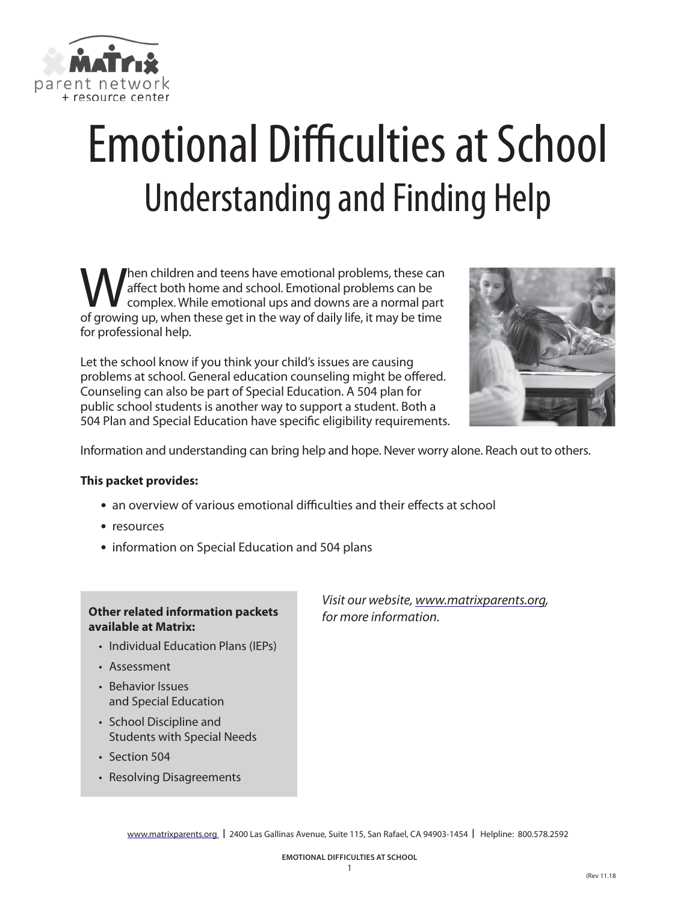

# Emotional Difficulties at School Understanding and Finding Help

When children and teens have emotional problems, these can<br>diffect both home and school. Emotional problems can be<br>of growing up when these get in the way of daily life it may be time affect both home and school. Emotional problems can be complex. While emotional ups and downs are a normal part of growing up, when these get in the way of daily life, it may be time for professional help.

Let the school know if you think your child's issues are causing problems at school. General education counseling might be offered. Counseling can also be part of Special Education. A 504 plan for public school students is another way to support a student. Both a 504 Plan and Special Education have specific eligibility requirements.



Information and understanding can bring help and hope. Never worry alone. Reach out to others.

#### **This packet provides:**

- **•** an overview of various emotional difficulties and their effects at school
- **•** resources
- **•** information on Special Education and 504 plans

#### **Other related information packets available at Matrix:**

- Individual Education Plans (IEPs)
- Assessment
- Behavior Issues and Special Education
- School Discipline and Students with Special Needs
- Section 504
- Resolving Disagreements

*Visit our website, [www.matrixparents.org,](http://www.matrixparents.org) for more information.*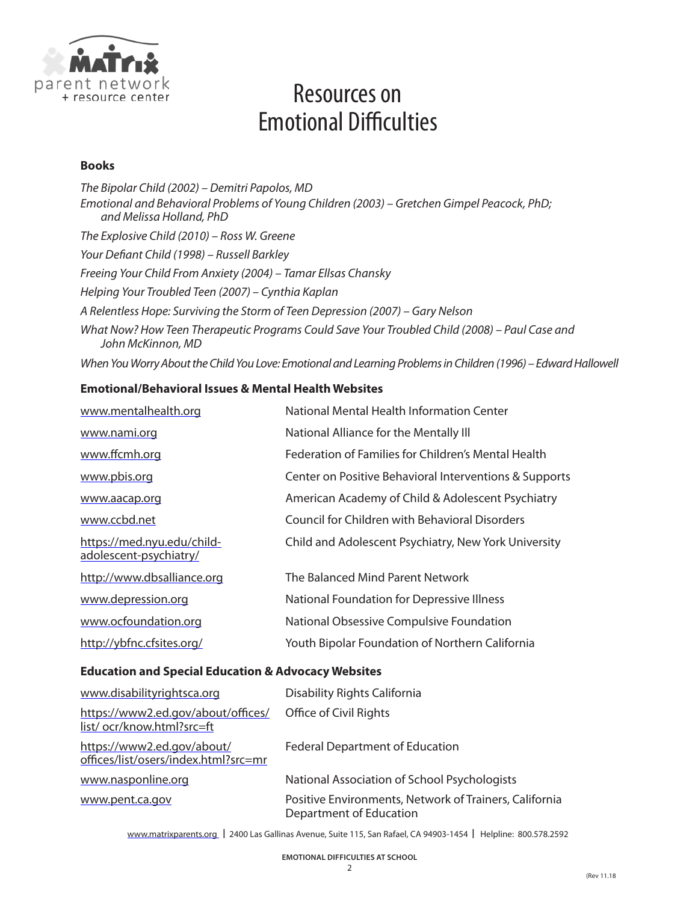

### Resources on Emotional Difficulties

#### **Books**

*The Bipolar Child (2002) – Demitri Papolos, MD Emotional and Behavioral Problems of Young Children (2003) – Gretchen Gimpel Peacock, PhD; and Melissa Holland, PhD The Explosive Child (2010) – Ross W. Greene Your Defiant Child (1998) – Russell Barkley Freeing Your Child From Anxiety (2004) – Tamar Ellsas Chansky Helping Your Troubled Teen (2007) – Cynthia Kaplan A Relentless Hope: Surviving the Storm of Teen Depression (2007) – Gary Nelson What Now? How Teen Therapeutic Programs Could Save Your Troubled Child (2008) – Paul Case and John McKinnon, MD When You Worry About the Child You Love: Emotional and Learning Problems in Children (1996) – Edward Hallowell*

#### **Emotional/Behavioral Issues & Mental Health Websites**

| www.mentalhealth.org                                 | National Mental Health Information Center                  |
|------------------------------------------------------|------------------------------------------------------------|
| www.nami.org                                         | National Alliance for the Mentally III                     |
| www.ffcmh.org                                        | <b>Federation of Families for Children's Mental Health</b> |
| www.pbis.org                                         | Center on Positive Behavioral Interventions & Supports     |
| www.aacap.org                                        | American Academy of Child & Adolescent Psychiatry          |
| www.ccbd.net                                         | Council for Children with Behavioral Disorders             |
| https://med.nyu.edu/child-<br>adolescent-psychiatry/ | Child and Adolescent Psychiatry, New York University       |
| http://www.dbsalliance.org                           | The Balanced Mind Parent Network                           |
| www.depression.org                                   | National Foundation for Depressive Illness                 |
| www.ocfoundation.org                                 | National Obsessive Compulsive Foundation                   |
| http://ybfnc.cfsites.org/                            | Youth Bipolar Foundation of Northern California            |

#### **Education and Special Education & Advocacy Websites**

| www.disabilityrightsca.org                                         | Disability Rights California                                                      |
|--------------------------------------------------------------------|-----------------------------------------------------------------------------------|
| https://www2.ed.gov/about/offices/<br>list/ocr/know.html?src=ft    | Office of Civil Rights                                                            |
| https://www2.ed.gov/about/<br>offices/list/osers/index.html?src=mr | <b>Federal Department of Education</b>                                            |
| www.nasponline.org                                                 | National Association of School Psychologists                                      |
| www.pent.ca.gov                                                    | Positive Environments, Network of Trainers, California<br>Department of Education |

[www.matrixparents.org](http://www.matrixparents.org) **|** 2400 Las Gallinas Avenue, Suite 115, San Rafael, CA 94903-1454 **|** Helpline: 800.578.2592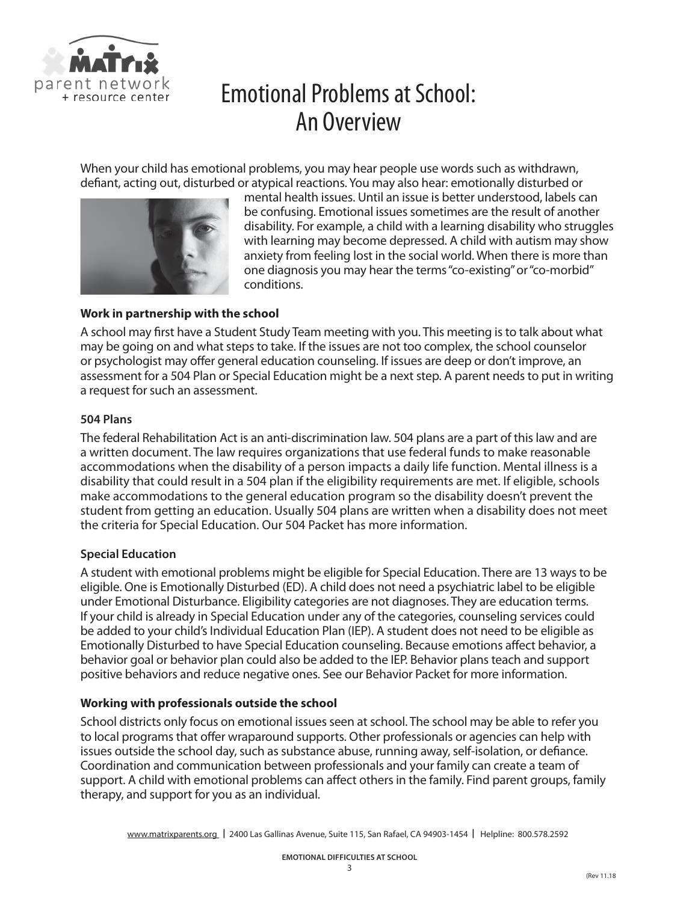

### Emotional Problems at School: An Overview

When your child has emotional problems, you may hear people use words such as withdrawn, defiant, acting out, disturbed or atypical reactions. You may also hear: emotionally disturbed or



mental health issues. Until an issue is better understood, labels can be confusing. Emotional issues sometimes are the result of another disability. For example, a child with a learning disability who struggles with learning may become depressed. A child with autism may show anxiety from feeling lost in the social world. When there is more than one diagnosis you may hear the terms "co-existing" or "co-morbid" conditions.

#### **Work in partnership with the school**

A school may first have a Student Study Team meeting with you. This meeting is to talk about what may be going on and what steps to take. If the issues are not too complex, the school counselor or psychologist may offer general education counseling. If issues are deep or don't improve, an assessment for a 504 Plan or Special Education might be a next step. A parent needs to put in writing a request for such an assessment.

#### **504 Plans**

The federal Rehabilitation Act is an anti-discrimination law. 504 plans are a part of this law and are a written document. The law requires organizations that use federal funds to make reasonable accommodations when the disability of a person impacts a daily life function. Mental illness is a disability that could result in a 504 plan if the eligibility requirements are met. If eligible, schools make accommodations to the general education program so the disability doesn't prevent the student from getting an education. Usually 504 plans are written when a disability does not meet the criteria for Special Education. Our 504 Packet has more information.

#### **Special Education**

A student with emotional problems might be eligible for Special Education. There are 13 ways to be eligible. One is Emotionally Disturbed (ED). A child does not need a psychiatric label to be eligible under Emotional Disturbance. Eligibility categories are not diagnoses. They are education terms. If your child is already in Special Education under any of the categories, counseling services could be added to your child's Individual Education Plan (IEP). A student does not need to be eligible as Emotionally Disturbed to have Special Education counseling. Because emotions affect behavior, a behavior goal or behavior plan could also be added to the IEP. Behavior plans teach and support positive behaviors and reduce negative ones. See our Behavior Packet for more information.

#### **Working with professionals outside the school**

School districts only focus on emotional issues seen at school. The school may be able to refer you to local programs that offer wraparound supports. Other professionals or agencies can help with issues outside the school day, such as substance abuse, running away, self-isolation, or defiance. Coordination and communication between professionals and your family can create a team of support. A child with emotional problems can affect others in the family. Find parent groups, family therapy, and support for you as an individual.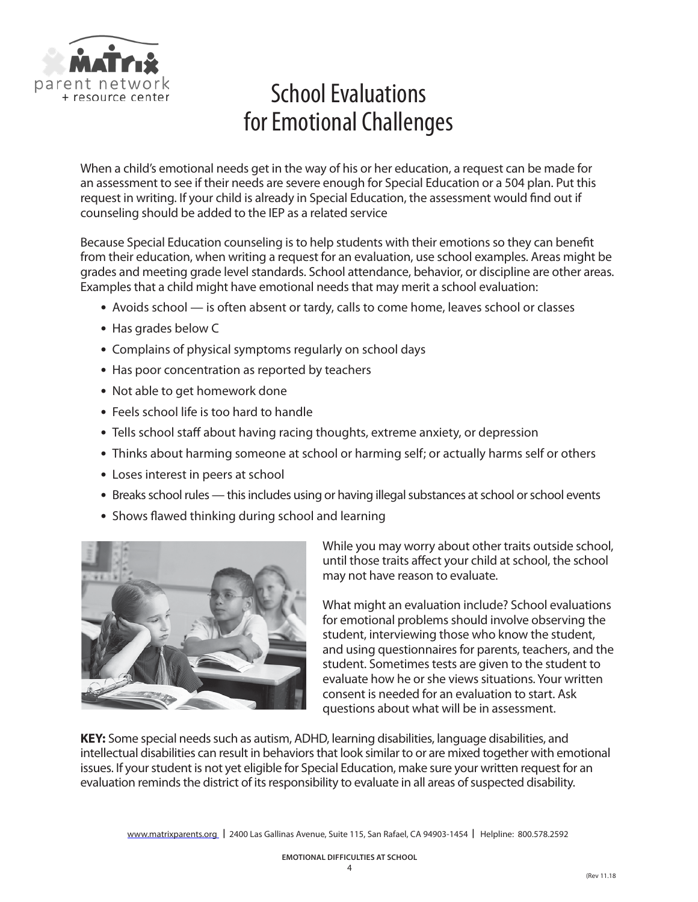

# School Evaluations for Emotional Challenges

When a child's emotional needs get in the way of his or her education, a request can be made for an assessment to see if their needs are severe enough for Special Education or a 504 plan. Put this request in writing. If your child is already in Special Education, the assessment would find out if counseling should be added to the IEP as a related service

Because Special Education counseling is to help students with their emotions so they can benefit from their education, when writing a request for an evaluation, use school examples. Areas might be grades and meeting grade level standards. School attendance, behavior, or discipline are other areas. Examples that a child might have emotional needs that may merit a school evaluation:

- **•** Avoids school is often absent or tardy, calls to come home, leaves school or classes
- **•** Has grades below C
- **•** Complains of physical symptoms regularly on school days
- **•** Has poor concentration as reported by teachers
- **•** Not able to get homework done
- **•** Feels school life is too hard to handle
- **•** Tells school staff about having racing thoughts, extreme anxiety, or depression
- **•** Thinks about harming someone at school or harming self; or actually harms self or others
- **•** Loses interest in peers at school
- **•** Breaks school rules this includes using or having illegal substances at school or school events
- **•** Shows flawed thinking during school and learning



While you may worry about other traits outside school, until those traits affect your child at school, the school may not have reason to evaluate.

What might an evaluation include? School evaluations for emotional problems should involve observing the student, interviewing those who know the student, and using questionnaires for parents, teachers, and the student. Sometimes tests are given to the student to evaluate how he or she views situations. Your written consent is needed for an evaluation to start. Ask questions about what will be in assessment.

**KEY:** Some special needs such as autism, ADHD, learning disabilities, language disabilities, and intellectual disabilities can result in behaviors that look similar to or are mixed together with emotional issues. If your student is not yet eligible for Special Education, make sure your written request for an evaluation reminds the district of its responsibility to evaluate in all areas of suspected disability.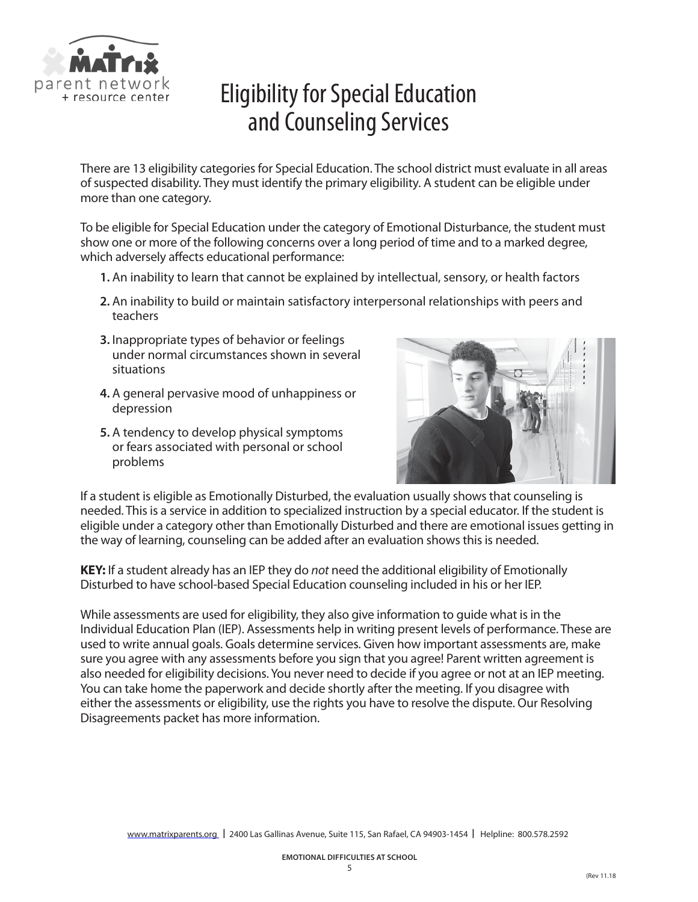

# Eligibility for Special Education and Counseling Services

There are 13 eligibility categories for Special Education. The school district must evaluate in all areas of suspected disability. They must identify the primary eligibility. A student can be eligible under more than one category.

To be eligible for Special Education under the category of Emotional Disturbance, the student must show one or more of the following concerns over a long period of time and to a marked degree, which adversely affects educational performance:

- **1.** An inability to learn that cannot be explained by intellectual, sensory, or health factors
- **2.** An inability to build or maintain satisfactory interpersonal relationships with peers and teachers
- **3.** Inappropriate types of behavior or feelings under normal circumstances shown in several situations
- **4.** A general pervasive mood of unhappiness or depression
- **5.** A tendency to develop physical symptoms or fears associated with personal or school problems



If a student is eligible as Emotionally Disturbed, the evaluation usually shows that counseling is needed. This is a service in addition to specialized instruction by a special educator. If the student is eligible under a category other than Emotionally Disturbed and there are emotional issues getting in the way of learning, counseling can be added after an evaluation shows this is needed.

**KEY:** If a student already has an IEP they do *not* need the additional eligibility of Emotionally Disturbed to have school-based Special Education counseling included in his or her IEP.

While assessments are used for eligibility, they also give information to guide what is in the Individual Education Plan (IEP). Assessments help in writing present levels of performance. These are used to write annual goals. Goals determine services. Given how important assessments are, make sure you agree with any assessments before you sign that you agree! Parent written agreement is also needed for eligibility decisions. You never need to decide if you agree or not at an IEP meeting. You can take home the paperwork and decide shortly after the meeting. If you disagree with either the assessments or eligibility, use the rights you have to resolve the dispute. Our Resolving Disagreements packet has more information.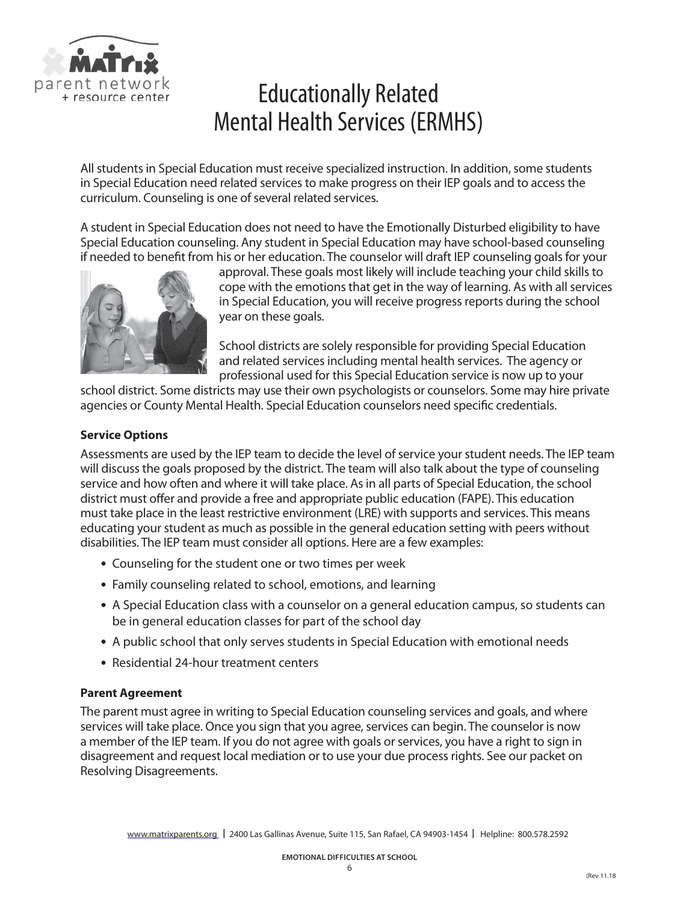

### Educationally Related Mental Health Services (ERMHS)

All students in Special Education must receive specialized instruction. In addition, some students in Special Education need related services to make progress on their IEP goals and to access the curriculum. Counseling is one of several related services.

A student in Special Education does not need to have the Emotionally Disturbed eligibility to have Special Education counseling. Any student in Special Education may have school-based counseling if needed to benefit from his or her education. The counselor will draft IEP counseling goals for your



approval. These goals most likely will include teaching your child skills to cope with the emotions that get in the way of learning. As with all services in Special Education, you will receive progress reports during the school year on these goals.

School districts are solely responsible for providing Special Education and related services including mental health services. The agency or professional used for this Special Education service is now up to your

school district. Some districts may use their own psychologists or counselors. Some may hire private agencies or County Mental Health. Special Education counselors need specific credentials.

#### **Service Options**

Assessments are used by the IEP team to decide the level of service your student needs. The IEP team will discuss the goals proposed by the district. The team will also talk about the type of counseling service and how often and where it will take place. As in all parts of Special Education, the school district must offer and provide a free and appropriate public education (FAPE). This education must take place in the least restrictive environment (LRE) with supports and services. This means educating your student as much as possible in the general education setting with peers without disabilities. The IEP team must consider all options. Here are a few examples:

- **•** Counseling for the student one or two times per week
- **•** Family counseling related to school, emotions, and learning
- **•** A Special Education class with a counselor on a general education campus, so students can be in general education classes for part of the school day
- **•** A public school that only serves students in Special Education with emotional needs
- **•** Residential 24-hour treatment centers

#### **Parent Agreement**

The parent must agree in writing to Special Education counseling services and goals, and where services will take place. Once you sign that you agree, services can begin. The counselor is now a member of the IEP team. If you do not agree with goals or services, you have a right to sign in disagreement and request local mediation or to use your due process rights. See our packet on Resolving Disagreements.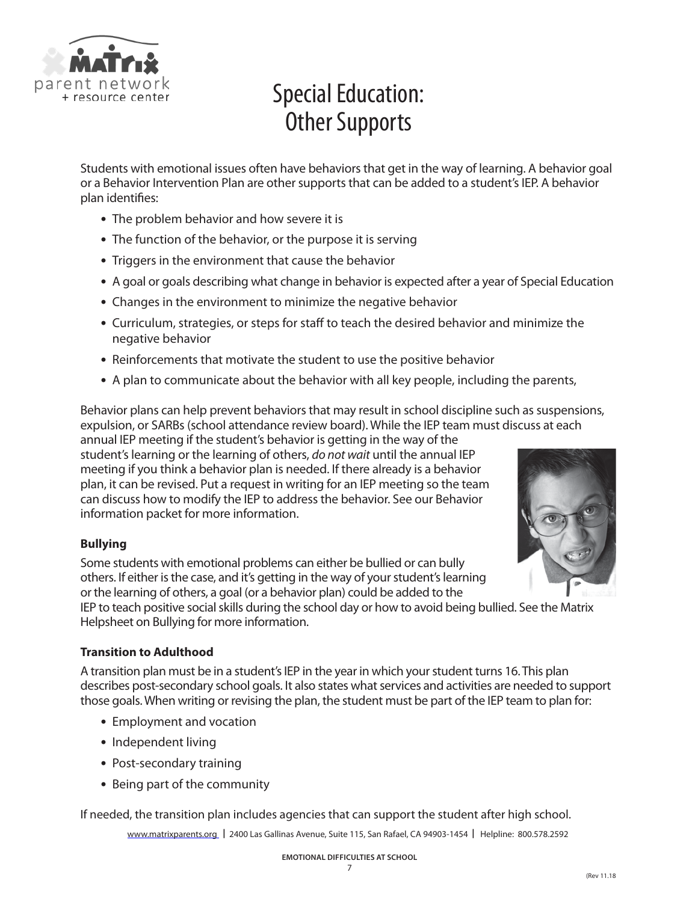

# Special Education: Other Supports

Students with emotional issues often have behaviors that get in the way of learning. A behavior goal or a Behavior Intervention Plan are other supports that can be added to a student's IEP. A behavior plan identifies:

- **•** The problem behavior and how severe it is
- **•** The function of the behavior, or the purpose it is serving
- **•** Triggers in the environment that cause the behavior
- **•** A goal or goals describing what change in behavior is expected after a year of Special Education
- **•** Changes in the environment to minimize the negative behavior
- **•** Curriculum, strategies, or steps for staff to teach the desired behavior and minimize the negative behavior
- **•** Reinforcements that motivate the student to use the positive behavior
- **•** A plan to communicate about the behavior with all key people, including the parents,

Behavior plans can help prevent behaviors that may result in school discipline such as suspensions, expulsion, or SARBs (school attendance review board). While the IEP team must discuss at each

annual IEP meeting if the student's behavior is getting in the way of the student's learning or the learning of others, *do not wait* until the annual IEP meeting if you think a behavior plan is needed. If there already is a behavior plan, it can be revised. Put a request in writing for an IEP meeting so the team can discuss how to modify the IEP to address the behavior. See our Behavior information packet for more information.

#### **Bullying**

Some students with emotional problems can either be bullied or can bully others. If either is the case, and it's getting in the way of your student's learning or the learning of others, a goal (or a behavior plan) could be added to the



IEP to teach positive social skills during the school day or how to avoid being bullied. See the Matrix Helpsheet on Bullying for more information.

#### **Transition to Adulthood**

A transition plan must be in a student's IEP in the year in which your student turns 16. This plan describes post-secondary school goals. It also states what services and activities are needed to support those goals. When writing or revising the plan, the student must be part of the IEP team to plan for:

- **•** Employment and vocation
- **•** Independent living
- **•** Post-secondary training
- **•** Being part of the community

If needed, the transition plan includes agencies that can support the student after high school.

[www.matrixparents.org](http://www.matrixparents.org) **|** 2400 Las Gallinas Avenue, Suite 115, San Rafael, CA 94903-1454 **|** Helpline: 800.578.2592